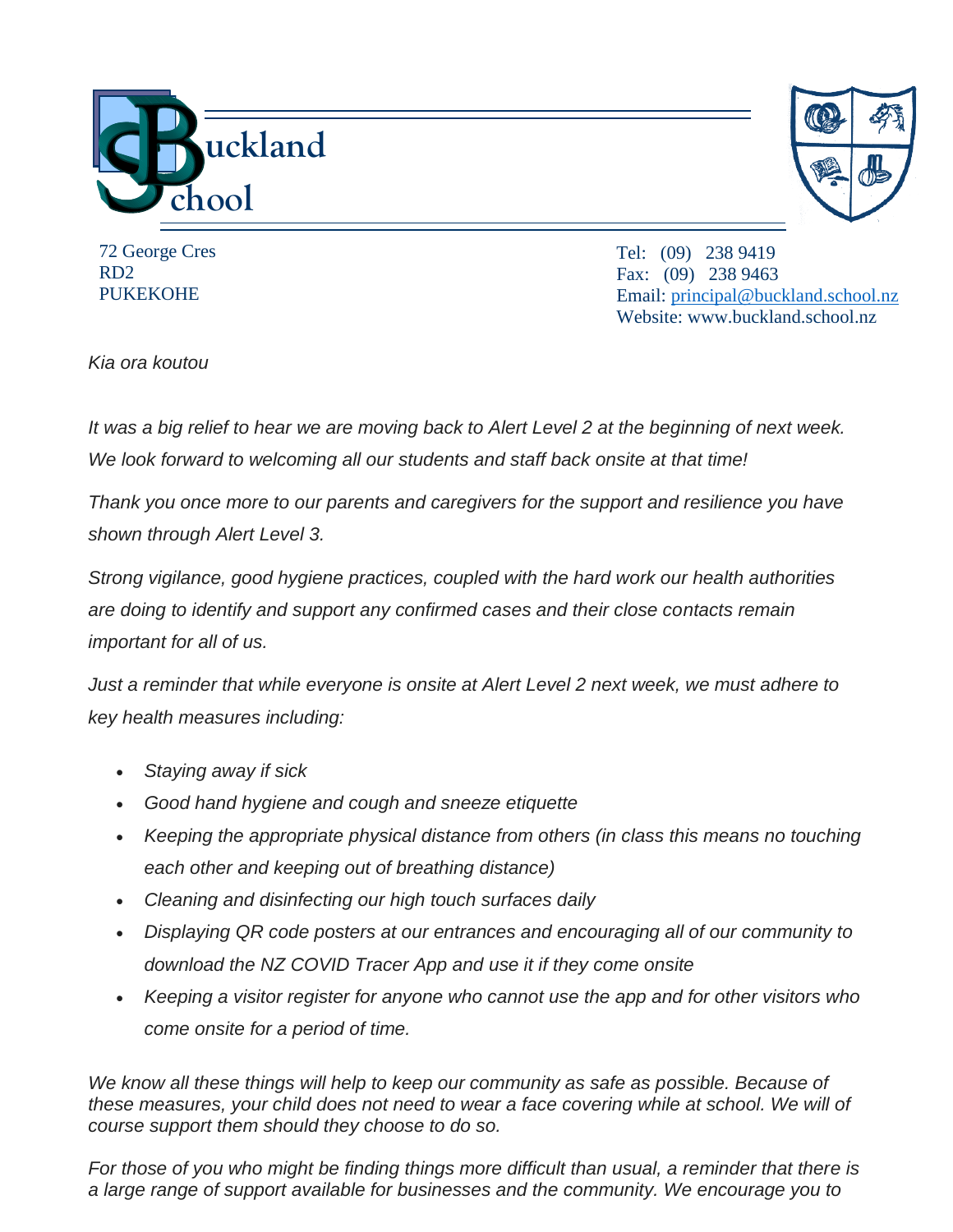



72 George Cres RD2 **PUKEKOHE** 

Tel: (09) 238 9419 Fax: (09) 238 9463 Email: [principal@buckland.school.nz](mailto:principal@buckland.school.nz) Website: www.buckland.school.nz

*Kia ora koutou*

*It was a big relief to hear we are moving back to Alert Level 2 at the beginning of next week. We look forward to welcoming all our students and staff back onsite at that time!*

*Thank you once more to our parents and caregivers for the support and resilience you have shown through Alert Level 3.*

*Strong vigilance, good hygiene practices, coupled with the hard work our health authorities are doing to identify and support any confirmed cases and their close contacts remain important for all of us.*

*Just a reminder that while everyone is onsite at Alert Level 2 next week, we must adhere to key health measures including:*

- *Staying away if sick*
- *Good hand hygiene and cough and sneeze etiquette*
- *Keeping the appropriate physical distance from others (in class this means no touching each other and keeping out of breathing distance)*
- *Cleaning and disinfecting our high touch surfaces daily*
- *Displaying QR code posters at our entrances and encouraging all of our community to download the NZ COVID Tracer App and use it if they come onsite*
- *Keeping a visitor register for anyone who cannot use the app and for other visitors who come onsite for a period of time.*

*We know all these things will help to keep our community as safe as possible. Because of these measures, your child does not need to wear a face covering while at school. We will of course support them should they choose to do so.*

*For those of you who might be finding things more difficult than usual, a reminder that there is a large range of support available for businesses and the community. We encourage you to*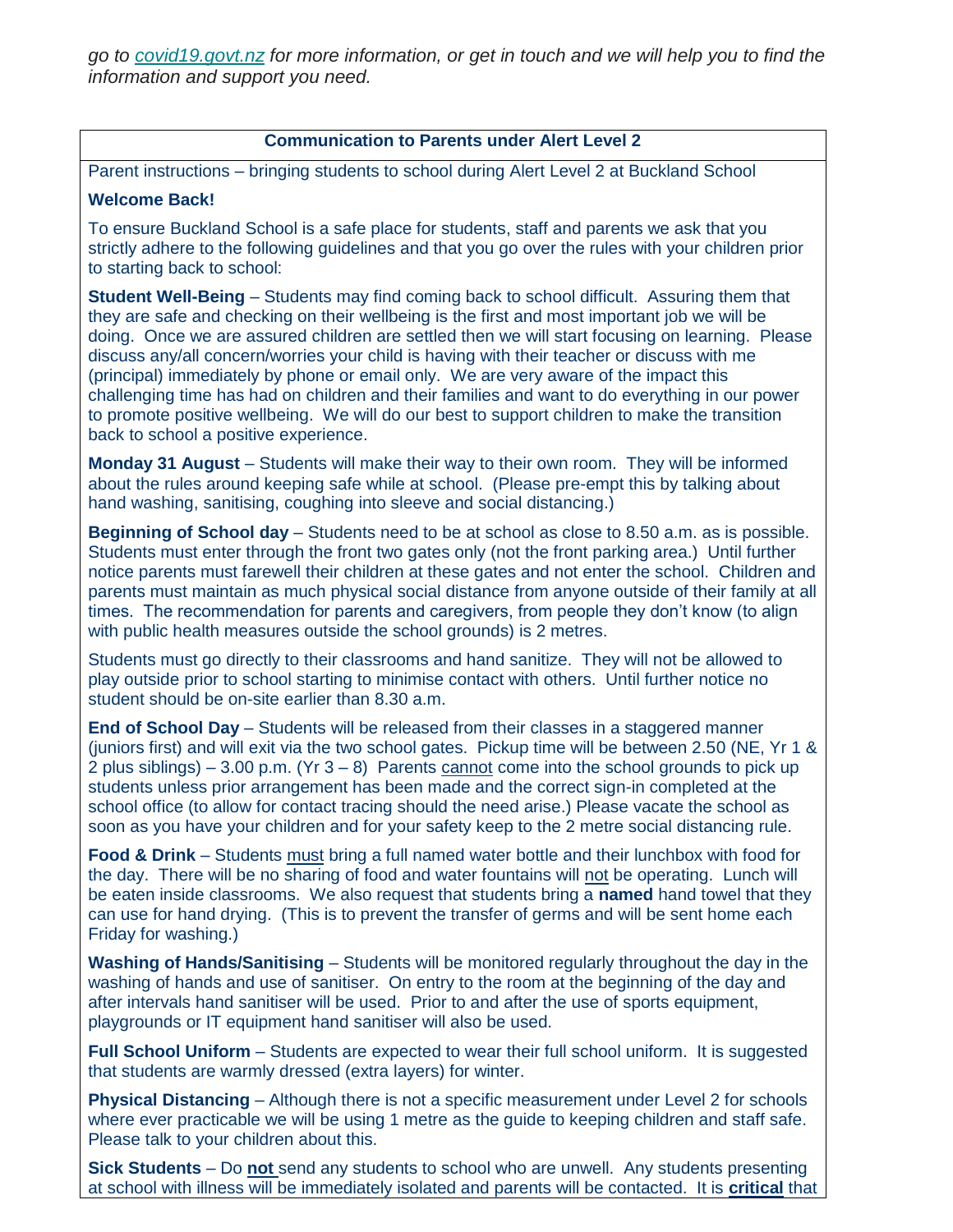*go to [covid19.govt.nz](https://govt.us3.list-manage.com/track/click?u=2f59fcd18a691d315b5a045cb&id=b4237b02e5&e=b485b13ec1) for more information, or get in touch and we will help you to find the information and support you need.*

## **Communication to Parents under Alert Level 2**

Parent instructions – bringing students to school during Alert Level 2 at Buckland School

## **Welcome Back!**

To ensure Buckland School is a safe place for students, staff and parents we ask that you strictly adhere to the following guidelines and that you go over the rules with your children prior to starting back to school:

**Student Well-Being** – Students may find coming back to school difficult. Assuring them that they are safe and checking on their wellbeing is the first and most important job we will be doing. Once we are assured children are settled then we will start focusing on learning. Please discuss any/all concern/worries your child is having with their teacher or discuss with me (principal) immediately by phone or email only. We are very aware of the impact this challenging time has had on children and their families and want to do everything in our power to promote positive wellbeing. We will do our best to support children to make the transition back to school a positive experience.

**Monday 31 August** – Students will make their way to their own room. They will be informed about the rules around keeping safe while at school. (Please pre-empt this by talking about hand washing, sanitising, coughing into sleeve and social distancing.)

**Beginning of School day** – Students need to be at school as close to 8.50 a.m. as is possible. Students must enter through the front two gates only (not the front parking area.) Until further notice parents must farewell their children at these gates and not enter the school. Children and parents must maintain as much physical social distance from anyone outside of their family at all times. The recommendation for parents and caregivers, from people they don't know (to align with public health measures outside the school grounds) is 2 metres.

Students must go directly to their classrooms and hand sanitize. They will not be allowed to play outside prior to school starting to minimise contact with others. Until further notice no student should be on-site earlier than 8.30 a.m.

**End of School Day** – Students will be released from their classes in a staggered manner (juniors first) and will exit via the two school gates. Pickup time will be between 2.50 (NE, Yr 1 & 2 plus siblings) – 3.00 p.m. (Yr  $3 - 8$ ) Parents cannot come into the school grounds to pick up students unless prior arrangement has been made and the correct sign-in completed at the school office (to allow for contact tracing should the need arise.) Please vacate the school as soon as you have your children and for your safety keep to the 2 metre social distancing rule.

**Food & Drink** – Students must bring a full named water bottle and their lunchbox with food for the day. There will be no sharing of food and water fountains will not be operating. Lunch will be eaten inside classrooms. We also request that students bring a **named** hand towel that they can use for hand drying. (This is to prevent the transfer of germs and will be sent home each Friday for washing.)

**Washing of Hands/Sanitising** – Students will be monitored regularly throughout the day in the washing of hands and use of sanitiser. On entry to the room at the beginning of the day and after intervals hand sanitiser will be used. Prior to and after the use of sports equipment, playgrounds or IT equipment hand sanitiser will also be used.

**Full School Uniform** – Students are expected to wear their full school uniform. It is suggested that students are warmly dressed (extra layers) for winter.

**Physical Distancing** – Although there is not a specific measurement under Level 2 for schools where ever practicable we will be using 1 metre as the guide to keeping children and staff safe. Please talk to your children about this.

**Sick Students** – Do **not** send any students to school who are unwell. Any students presenting at school with illness will be immediately isolated and parents will be contacted. It is **critical** that